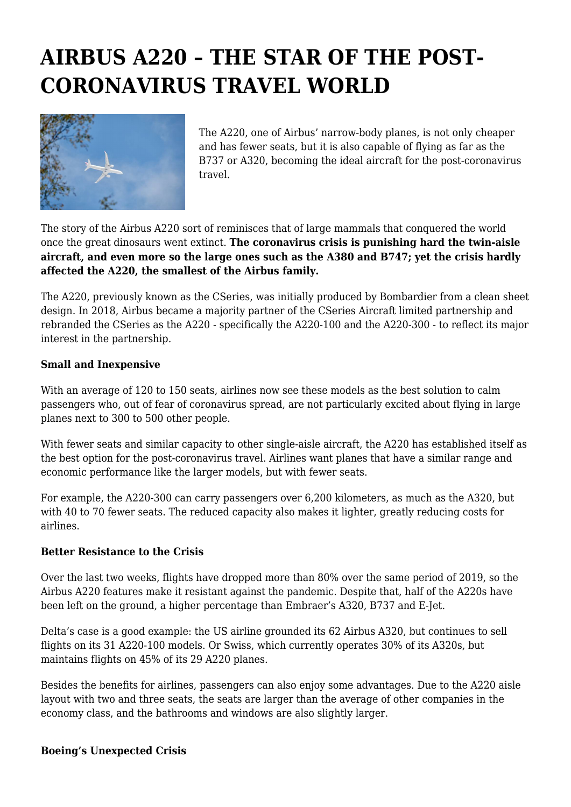# **AIRBUS A220 – THE STAR OF THE POST-CORONAVIRUS TRAVEL WORLD**



The A220, one of Airbus' narrow-body planes, is not only cheaper and has fewer seats, but it is also capable of flying as far as the B737 or A320, becoming the ideal aircraft for the post-coronavirus travel.

The story of the Airbus A220 sort of reminisces that of large mammals that conquered the world once the great dinosaurs went extinct. **The coronavirus crisis is punishing hard the twin-aisle aircraft, and even more so the large ones such as the A380 and B747; yet the crisis hardly affected the A220, the smallest of the Airbus family.**

The A220, previously known as the CSeries, was initially produced by Bombardier from a clean sheet design. In 2018, Airbus became a majority partner of the CSeries Aircraft limited partnership and rebranded the CSeries as the A220 - specifically the A220-100 and the A220-300 - to reflect its major interest in the partnership.

#### **Small and Inexpensive**

With an average of 120 to 150 seats, airlines now see these models as the best solution to calm passengers who, out of fear of coronavirus spread, are not particularly excited about flying in large planes next to 300 to 500 other people.

With fewer seats and similar capacity to other single-aisle aircraft, the A220 has established itself as the best option for the post-coronavirus travel. Airlines want planes that have a similar range and economic performance like the larger models, but with fewer seats.

For example, the A220-300 can carry passengers over 6,200 kilometers, as much as the A320, but with 40 to 70 fewer seats. The reduced capacity also makes it lighter, greatly reducing costs for airlines.

### **Better Resistance to the Crisis**

Over the last two weeks, flights have dropped more than 80% over the same period of 2019, so the Airbus A220 features make it resistant against the pandemic. Despite that, half of the A220s have been left on the ground, a higher percentage than Embraer's A320, B737 and E-Jet.

Delta's case is a good example: the US airline grounded its 62 Airbus A320, but continues to sell flights on its 31 A220-100 models. Or Swiss, which currently operates 30% of its A320s, but maintains flights on 45% of its 29 A220 planes.

Besides the benefits for airlines, passengers can also enjoy some advantages. Due to the A220 aisle layout with two and three seats, the seats are larger than the average of other companies in the economy class, and the bathrooms and windows are also slightly larger.

#### **Boeing's Unexpected Crisis**